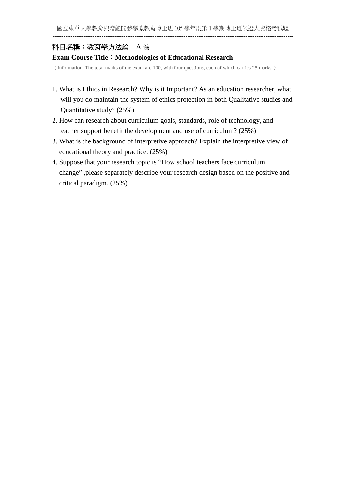# 科目名稱:教育學方法論A 卷

## **Exam Course Title**:**Methodologies of Educational Research**

(Information: The total marks of the exam are 100, with four questions, each of which carries 25 marks.)

- 1. What is Ethics in Research? Why is it Important? As an education researcher, what will you do maintain the system of ethics protection in both Qualitative studies and Quantitative study? (25%)
- 2. How can research about curriculum goals, standards, role of technology, and teacher support benefit the development and use of curriculum? (25%)
- 3. What is the background of interpretive approach? Explain the interpretive view of educational theory and practice. (25%)
- 4. Suppose that your research topic is "How school teachers face curriculum change" ,please separately describe your research design based on the positive and critical paradigm. (25%)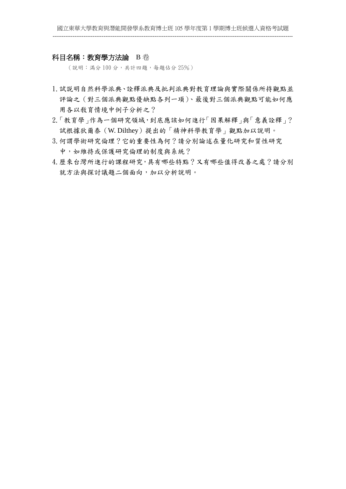#### 科目名稱:教育學方法論 B 卷

(說明:滿分 100 分,共計四題,每題佔分 25%)

- 1.試説明自然科學派典、詮釋派典及批判派典對教育理論與實際關係所持觀點並 評論之(對三個派典觀點優缺點各列一項)、最後對三個派典觀點可能如何應 用各以敎育情境中例子分析之?
- 2.「教育學」作為一個研究領域,到底應該如何進行「因果解釋」與「意義詮釋」? 試根據狄爾泰(W. Dilthey)提出的「精神科學教育學」觀點加以說明。
- 3.何謂學術研究倫理?它的重要性為何?請分別論述在量化研究和質性研究 中,如維持或保護研究倫理的制度與系統?
- 4.歷來台灣所進行的課程研究,具有哪些特點?又有哪些值得改善之處?請分別 就方法與探討議題二個面向,加以分析說明。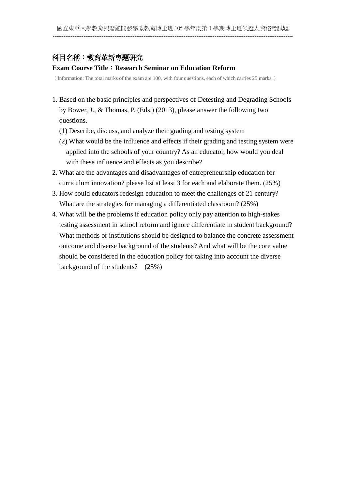# 科目名稱:教育革新專題研究

#### **Exam Course Title**:**Research Seminar on Education Reform**

(Information: The total marks of the exam are 100, with four questions, each of which carries 25 marks.)

- 1. Based on the basic principles and perspectives of Detesting and Degrading Schools by Bower, J., & Thomas, P. (Eds.) (2013), please answer the following two questions.
	- (1) Describe, discuss, and analyze their grading and testing system
	- (2) What would be the influence and effects if their grading and testing system were applied into the schools of your country? As an educator, how would you deal with these influence and effects as you describe?
- 2. What are the advantages and disadvantages of entrepreneurship education for curriculum innovation? please list at least 3 for each and elaborate them. (25%)
- 3. How could educators redesign education to meet the challenges of 21 century? What are the strategies for managing a differentiated classroom? (25%)
- 4. What will be the problems if education policy only pay attention to high-stakes testing assessment in school reform and ignore differentiate in student background? What methods or institutions should be designed to balance the concrete assessment outcome and diverse background of the students? And what will be the core value should be considered in the education policy for taking into account the diverse background of the students? (25%)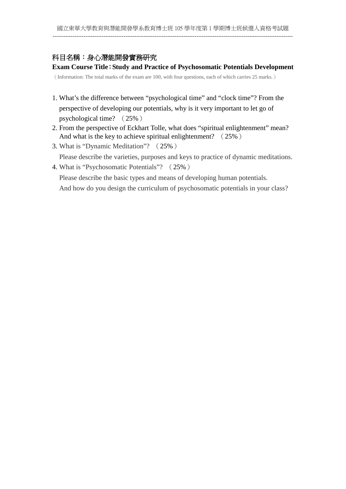# 科目名稱:身心潛能開發實務研究

## **Exam Course Title**:**Study and Practice of Psychosomatic Potentials Development**

(Information: The total marks of the exam are 100, with four questions, each of which carries 25 marks.)

- 1. What's the difference between "psychological time" and "clock time"? From the perspective of developing our potentials, why is it very important to let go of psychological time? (25%)
- 2. From the perspective of Eckhart Tolle, what does "spiritual enlightenment" mean? And what is the key to achieve spiritual enlightenment? (25%)
- 3. What is "Dynamic Meditation"? (25%)

Please describe the varieties, purposes and keys to practice of dynamic meditations.

4. What is "Psychosomatic Potentials"? (25%)

Please describe the basic types and means of developing human potentials. And how do you design the curriculum of psychosomatic potentials in your class?